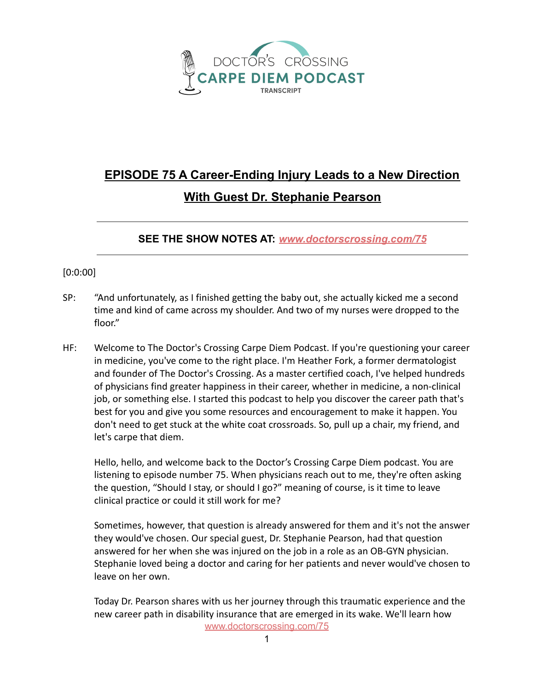

## **EPISODE 75 A Career-Ending Injury Leads to a New Direction With Guest Dr. Stephanie Pearson**

**SEE THE SHOW NOTES AT:** *[www.doctorscrossing.com/75](http://www.doctorscrossing.com/75)*

## [0:0:00]

- SP: "And unfortunately, as I finished getting the baby out, she actually kicked me a second time and kind of came across my shoulder. And two of my nurses were dropped to the floor."
- HF: Welcome to The Doctor's Crossing Carpe Diem Podcast. If you're questioning your career in medicine, you've come to the right place. I'm Heather Fork, a former dermatologist and founder of The Doctor's Crossing. As a master certified coach, I've helped hundreds of physicians find greater happiness in their career, whether in medicine, a non-clinical job, or something else. I started this podcast to help you discover the career path that's best for you and give you some resources and encouragement to make it happen. You don't need to get stuck at the white coat crossroads. So, pull up a chair, my friend, and let's carpe that diem.

Hello, hello, and welcome back to the Doctor's Crossing Carpe Diem podcast. You are listening to episode number 75. When physicians reach out to me, they're often asking the question, "Should I stay, or should I go?" meaning of course, is it time to leave clinical practice or could it still work for me?

Sometimes, however, that question is already answered for them and it's not the answer they would've chosen. Our special guest, Dr. Stephanie Pearson, had that question answered for her when she was injured on the job in a role as an OB-GYN physician. Stephanie loved being a doctor and caring for her patients and never would've chosen to leave on her own.

Today Dr. Pearson shares with us her journey through this traumatic experience and the new career path in disability insurance that are emerged in its wake. We'll learn how [www.doctorscrossing.com/75](http://www.doctorscrossing.com/75)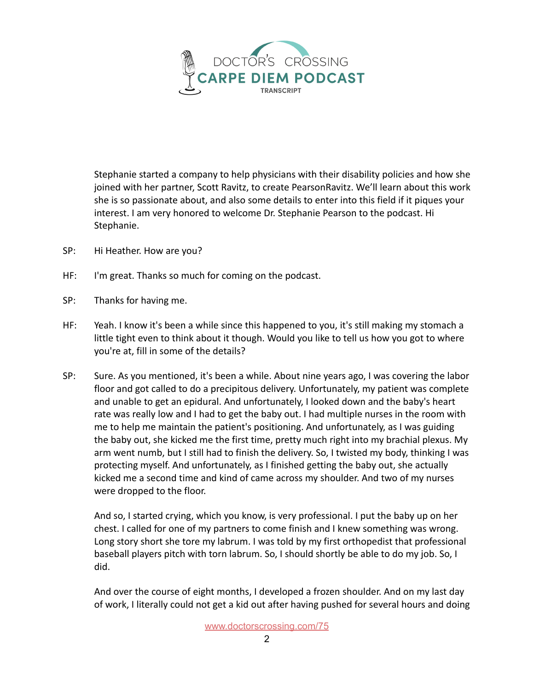

Stephanie started a company to help physicians with their disability policies and how she joined with her partner, Scott Ravitz, to create PearsonRavitz. We'll learn about this work she is so passionate about, and also some details to enter into this field if it piques your interest. I am very honored to welcome Dr. Stephanie Pearson to the podcast. Hi Stephanie.

- SP: Hi Heather. How are you?
- HF: I'm great. Thanks so much for coming on the podcast.
- SP: Thanks for having me.
- HF: Yeah. I know it's been a while since this happened to you, it's still making my stomach a little tight even to think about it though. Would you like to tell us how you got to where you're at, fill in some of the details?
- SP: Sure. As you mentioned, it's been a while. About nine years ago, I was covering the labor floor and got called to do a precipitous delivery. Unfortunately, my patient was complete and unable to get an epidural. And unfortunately, I looked down and the baby's heart rate was really low and I had to get the baby out. I had multiple nurses in the room with me to help me maintain the patient's positioning. And unfortunately, as I was guiding the baby out, she kicked me the first time, pretty much right into my brachial plexus. My arm went numb, but I still had to finish the delivery. So, I twisted my body, thinking I was protecting myself. And unfortunately, as I finished getting the baby out, she actually kicked me a second time and kind of came across my shoulder. And two of my nurses were dropped to the floor.

And so, I started crying, which you know, is very professional. I put the baby up on her chest. I called for one of my partners to come finish and I knew something was wrong. Long story short she tore my labrum. I was told by my first orthopedist that professional baseball players pitch with torn labrum. So, I should shortly be able to do my job. So, I did.

And over the course of eight months, I developed a frozen shoulder. And on my last day of work, I literally could not get a kid out after having pushed for several hours and doing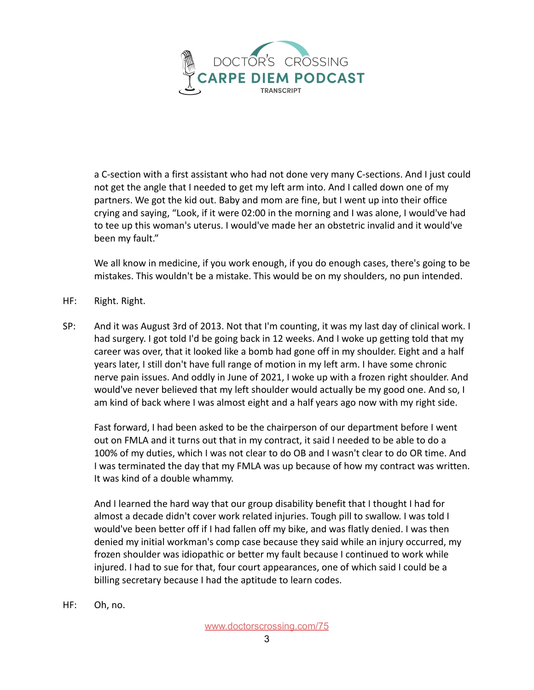

a C-section with a first assistant who had not done very many C-sections. And I just could not get the angle that I needed to get my left arm into. And I called down one of my partners. We got the kid out. Baby and mom are fine, but I went up into their office crying and saying, "Look, if it were 02:00 in the morning and I was alone, I would've had to tee up this woman's uterus. I would've made her an obstetric invalid and it would've been my fault."

We all know in medicine, if you work enough, if you do enough cases, there's going to be mistakes. This wouldn't be a mistake. This would be on my shoulders, no pun intended.

- HF: Right. Right.
- SP: And it was August 3rd of 2013. Not that I'm counting, it was my last day of clinical work. I had surgery. I got told I'd be going back in 12 weeks. And I woke up getting told that my career was over, that it looked like a bomb had gone off in my shoulder. Eight and a half years later, I still don't have full range of motion in my left arm. I have some chronic nerve pain issues. And oddly in June of 2021, I woke up with a frozen right shoulder. And would've never believed that my left shoulder would actually be my good one. And so, I am kind of back where I was almost eight and a half years ago now with my right side.

Fast forward, I had been asked to be the chairperson of our department before I went out on FMLA and it turns out that in my contract, it said I needed to be able to do a 100% of my duties, which I was not clear to do OB and I wasn't clear to do OR time. And I was terminated the day that my FMLA was up because of how my contract was written. It was kind of a double whammy.

And I learned the hard way that our group disability benefit that I thought I had for almost a decade didn't cover work related injuries. Tough pill to swallow. I was told I would've been better off if I had fallen off my bike, and was flatly denied. I was then denied my initial workman's comp case because they said while an injury occurred, my frozen shoulder was idiopathic or better my fault because I continued to work while injured. I had to sue for that, four court appearances, one of which said I could be a billing secretary because I had the aptitude to learn codes.

HF: Oh, no.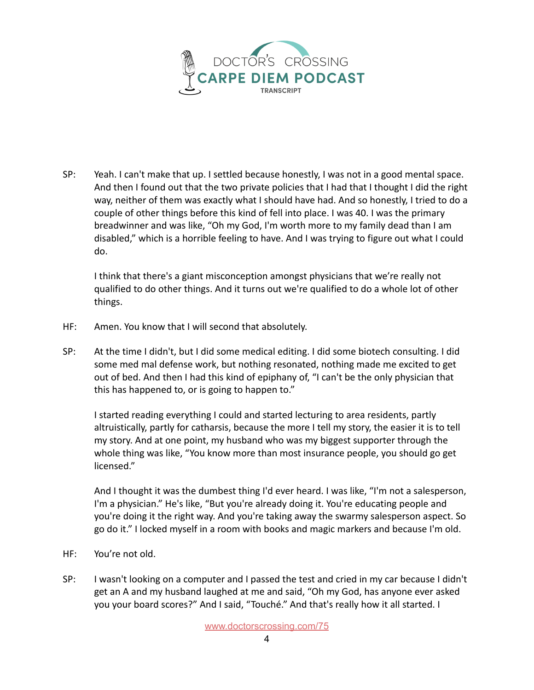

SP: Yeah. I can't make that up. I settled because honestly, I was not in a good mental space. And then I found out that the two private policies that I had that I thought I did the right way, neither of them was exactly what I should have had. And so honestly, I tried to do a couple of other things before this kind of fell into place. I was 40. I was the primary breadwinner and was like, "Oh my God, I'm worth more to my family dead than I am disabled," which is a horrible feeling to have. And I was trying to figure out what I could do.

I think that there's a giant misconception amongst physicians that we're really not qualified to do other things. And it turns out we're qualified to do a whole lot of other things.

- HF: Amen. You know that I will second that absolutely.
- SP: At the time I didn't, but I did some medical editing. I did some biotech consulting. I did some med mal defense work, but nothing resonated, nothing made me excited to get out of bed. And then I had this kind of epiphany of, "I can't be the only physician that this has happened to, or is going to happen to."

I started reading everything I could and started lecturing to area residents, partly altruistically, partly for catharsis, because the more I tell my story, the easier it is to tell my story. And at one point, my husband who was my biggest supporter through the whole thing was like, "You know more than most insurance people, you should go get licensed."

And I thought it was the dumbest thing I'd ever heard. I was like, "I'm not a salesperson, I'm a physician." He's like, "But you're already doing it. You're educating people and you're doing it the right way. And you're taking away the swarmy salesperson aspect. So go do it." I locked myself in a room with books and magic markers and because I'm old.

- HF: You're not old.
- SP: I wasn't looking on a computer and I passed the test and cried in my car because I didn't get an A and my husband laughed at me and said, "Oh my God, has anyone ever asked you your board scores?" And I said, "Touché." And that's really how it all started. I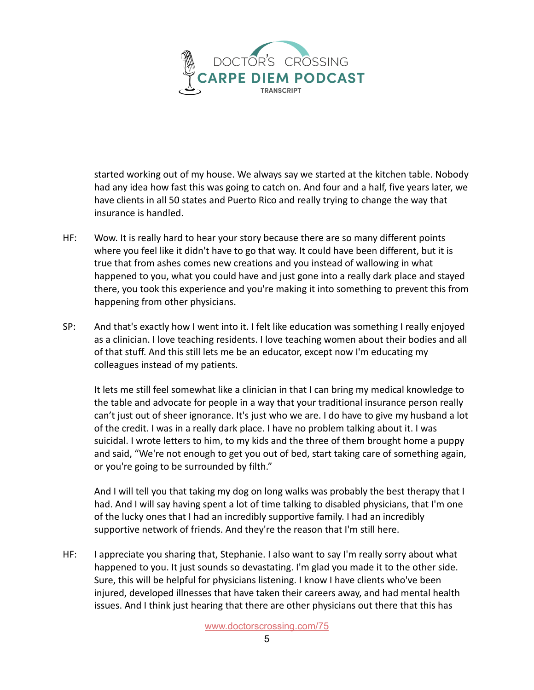

started working out of my house. We always say we started at the kitchen table. Nobody had any idea how fast this was going to catch on. And four and a half, five years later, we have clients in all 50 states and Puerto Rico and really trying to change the way that insurance is handled.

- HF: Wow. It is really hard to hear your story because there are so many different points where you feel like it didn't have to go that way. It could have been different, but it is true that from ashes comes new creations and you instead of wallowing in what happened to you, what you could have and just gone into a really dark place and stayed there, you took this experience and you're making it into something to prevent this from happening from other physicians.
- SP: And that's exactly how I went into it. I felt like education was something I really enjoyed as a clinician. I love teaching residents. I love teaching women about their bodies and all of that stuff. And this still lets me be an educator, except now I'm educating my colleagues instead of my patients.

It lets me still feel somewhat like a clinician in that I can bring my medical knowledge to the table and advocate for people in a way that your traditional insurance person really can't just out of sheer ignorance. It's just who we are. I do have to give my husband a lot of the credit. I was in a really dark place. I have no problem talking about it. I was suicidal. I wrote letters to him, to my kids and the three of them brought home a puppy and said, "We're not enough to get you out of bed, start taking care of something again, or you're going to be surrounded by filth."

And I will tell you that taking my dog on long walks was probably the best therapy that I had. And I will say having spent a lot of time talking to disabled physicians, that I'm one of the lucky ones that I had an incredibly supportive family. I had an incredibly supportive network of friends. And they're the reason that I'm still here.

HF: I appreciate you sharing that, Stephanie. I also want to say I'm really sorry about what happened to you. It just sounds so devastating. I'm glad you made it to the other side. Sure, this will be helpful for physicians listening. I know I have clients who've been injured, developed illnesses that have taken their careers away, and had mental health issues. And I think just hearing that there are other physicians out there that this has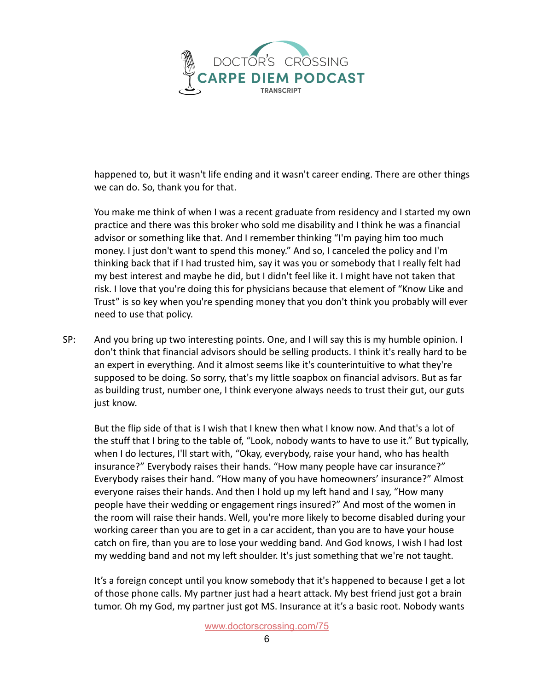

happened to, but it wasn't life ending and it wasn't career ending. There are other things we can do. So, thank you for that.

You make me think of when I was a recent graduate from residency and I started my own practice and there was this broker who sold me disability and I think he was a financial advisor or something like that. And I remember thinking "I'm paying him too much money. I just don't want to spend this money." And so, I canceled the policy and I'm thinking back that if I had trusted him, say it was you or somebody that I really felt had my best interest and maybe he did, but I didn't feel like it. I might have not taken that risk. I love that you're doing this for physicians because that element of "Know Like and Trust" is so key when you're spending money that you don't think you probably will ever need to use that policy.

SP: And you bring up two interesting points. One, and I will say this is my humble opinion. I don't think that financial advisors should be selling products. I think it's really hard to be an expert in everything. And it almost seems like it's counterintuitive to what they're supposed to be doing. So sorry, that's my little soapbox on financial advisors. But as far as building trust, number one, I think everyone always needs to trust their gut, our guts just know.

But the flip side of that is I wish that I knew then what I know now. And that's a lot of the stuff that I bring to the table of, "Look, nobody wants to have to use it." But typically, when I do lectures, I'll start with, "Okay, everybody, raise your hand, who has health insurance?" Everybody raises their hands. "How many people have car insurance?" Everybody raises their hand. "How many of you have homeowners' insurance?" Almost everyone raises their hands. And then I hold up my left hand and I say, "How many people have their wedding or engagement rings insured?" And most of the women in the room will raise their hands. Well, you're more likely to become disabled during your working career than you are to get in a car accident, than you are to have your house catch on fire, than you are to lose your wedding band. And God knows, I wish I had lost my wedding band and not my left shoulder. It's just something that we're not taught.

It's a foreign concept until you know somebody that it's happened to because I get a lot of those phone calls. My partner just had a heart attack. My best friend just got a brain tumor. Oh my God, my partner just got MS. Insurance at it's a basic root. Nobody wants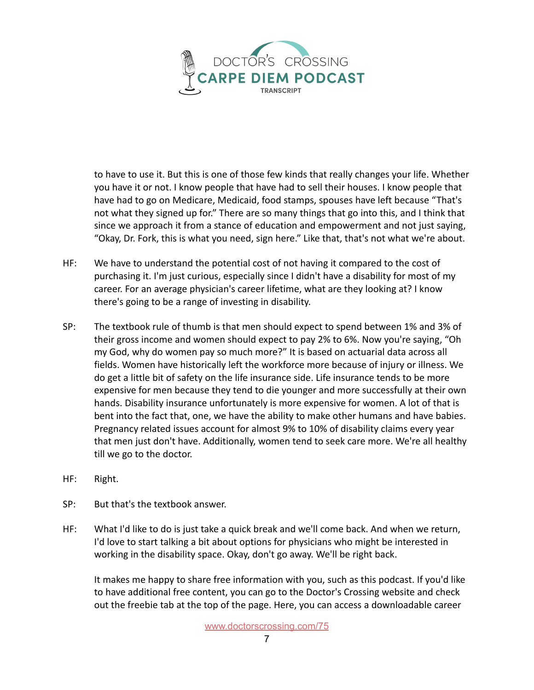

to have to use it. But this is one of those few kinds that really changes your life. Whether you have it or not. I know people that have had to sell their houses. I know people that have had to go on Medicare, Medicaid, food stamps, spouses have left because "That's not what they signed up for." There are so many things that go into this, and I think that since we approach it from a stance of education and empowerment and not just saying, "Okay, Dr. Fork, this is what you need, sign here." Like that, that's not what we're about.

- HF: We have to understand the potential cost of not having it compared to the cost of purchasing it. I'm just curious, especially since I didn't have a disability for most of my career. For an average physician's career lifetime, what are they looking at? I know there's going to be a range of investing in disability.
- SP: The textbook rule of thumb is that men should expect to spend between 1% and 3% of their gross income and women should expect to pay 2% to 6%. Now you're saying, "Oh my God, why do women pay so much more?" It is based on actuarial data across all fields. Women have historically left the workforce more because of injury or illness. We do get a little bit of safety on the life insurance side. Life insurance tends to be more expensive for men because they tend to die younger and more successfully at their own hands. Disability insurance unfortunately is more expensive for women. A lot of that is bent into the fact that, one, we have the ability to make other humans and have babies. Pregnancy related issues account for almost 9% to 10% of disability claims every year that men just don't have. Additionally, women tend to seek care more. We're all healthy till we go to the doctor.
- HF: Right.
- SP: But that's the textbook answer.
- HF: What I'd like to do is just take a quick break and we'll come back. And when we return, I'd love to start talking a bit about options for physicians who might be interested in working in the disability space. Okay, don't go away. We'll be right back.

It makes me happy to share free information with you, such as this podcast. If you'd like to have additional free content, you can go to the Doctor's Crossing website and check out the freebie tab at the top of the page. Here, you can access a downloadable career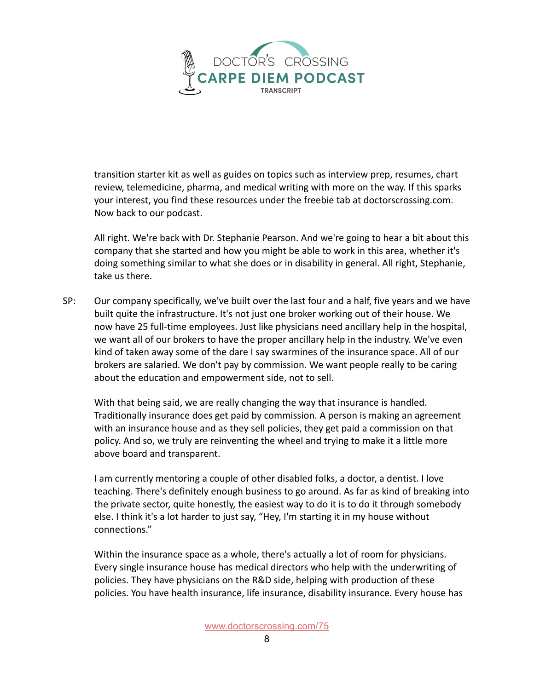

transition starter kit as well as guides on topics such as interview prep, resumes, chart review, telemedicine, pharma, and medical writing with more on the way. If this sparks your interest, you find these resources under the freebie tab at doctorscrossing.com. Now back to our podcast.

All right. We're back with Dr. Stephanie Pearson. And we're going to hear a bit about this company that she started and how you might be able to work in this area, whether it's doing something similar to what she does or in disability in general. All right, Stephanie, take us there.

SP: Our company specifically, we've built over the last four and a half, five years and we have built quite the infrastructure. It's not just one broker working out of their house. We now have 25 full-time employees. Just like physicians need ancillary help in the hospital, we want all of our brokers to have the proper ancillary help in the industry. We've even kind of taken away some of the dare I say swarmines of the insurance space. All of our brokers are salaried. We don't pay by commission. We want people really to be caring about the education and empowerment side, not to sell.

With that being said, we are really changing the way that insurance is handled. Traditionally insurance does get paid by commission. A person is making an agreement with an insurance house and as they sell policies, they get paid a commission on that policy. And so, we truly are reinventing the wheel and trying to make it a little more above board and transparent.

I am currently mentoring a couple of other disabled folks, a doctor, a dentist. I love teaching. There's definitely enough business to go around. As far as kind of breaking into the private sector, quite honestly, the easiest way to do it is to do it through somebody else. I think it's a lot harder to just say, "Hey, I'm starting it in my house without connections."

Within the insurance space as a whole, there's actually a lot of room for physicians. Every single insurance house has medical directors who help with the underwriting of policies. They have physicians on the R&D side, helping with production of these policies. You have health insurance, life insurance, disability insurance. Every house has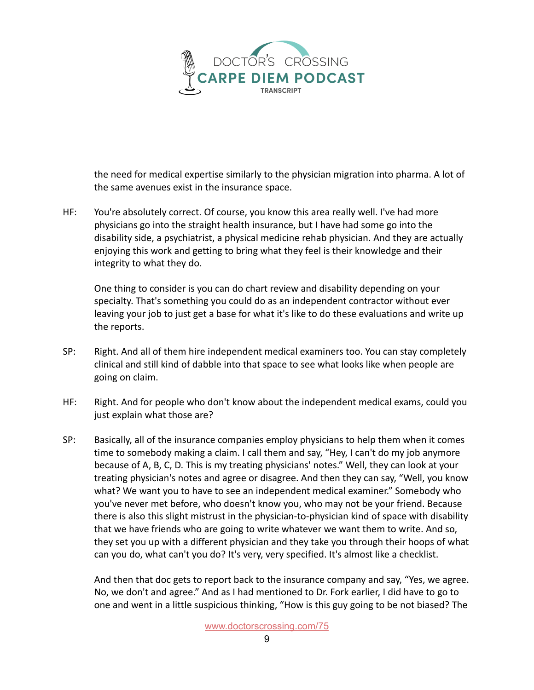

the need for medical expertise similarly to the physician migration into pharma. A lot of the same avenues exist in the insurance space.

HF: You're absolutely correct. Of course, you know this area really well. I've had more physicians go into the straight health insurance, but I have had some go into the disability side, a psychiatrist, a physical medicine rehab physician. And they are actually enjoying this work and getting to bring what they feel is their knowledge and their integrity to what they do.

One thing to consider is you can do chart review and disability depending on your specialty. That's something you could do as an independent contractor without ever leaving your job to just get a base for what it's like to do these evaluations and write up the reports.

- SP: Right. And all of them hire independent medical examiners too. You can stay completely clinical and still kind of dabble into that space to see what looks like when people are going on claim.
- HF: Right. And for people who don't know about the independent medical exams, could you just explain what those are?
- SP: Basically, all of the insurance companies employ physicians to help them when it comes time to somebody making a claim. I call them and say, "Hey, I can't do my job anymore because of A, B, C, D. This is my treating physicians' notes." Well, they can look at your treating physician's notes and agree or disagree. And then they can say, "Well, you know what? We want you to have to see an independent medical examiner." Somebody who you've never met before, who doesn't know you, who may not be your friend. Because there is also this slight mistrust in the physician-to-physician kind of space with disability that we have friends who are going to write whatever we want them to write. And so, they set you up with a different physician and they take you through their hoops of what can you do, what can't you do? It's very, very specified. It's almost like a checklist.

And then that doc gets to report back to the insurance company and say, "Yes, we agree. No, we don't and agree." And as I had mentioned to Dr. Fork earlier, I did have to go to one and went in a little suspicious thinking, "How is this guy going to be not biased? The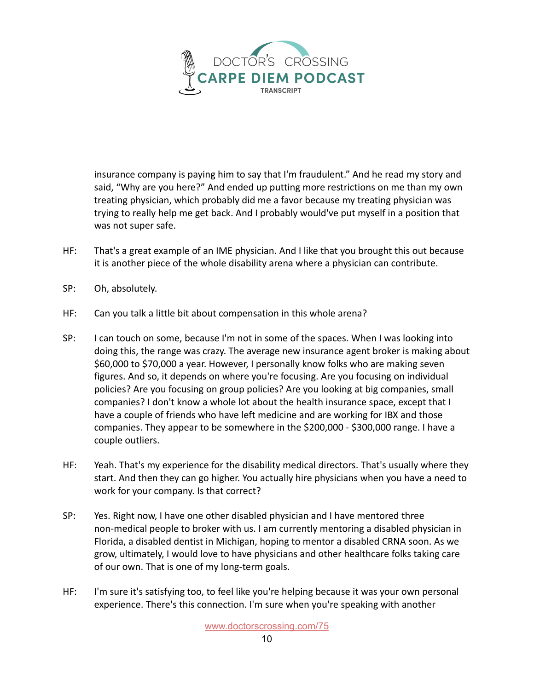

insurance company is paying him to say that I'm fraudulent." And he read my story and said, "Why are you here?" And ended up putting more restrictions on me than my own treating physician, which probably did me a favor because my treating physician was trying to really help me get back. And I probably would've put myself in a position that was not super safe.

- HF: That's a great example of an IME physician. And I like that you brought this out because it is another piece of the whole disability arena where a physician can contribute.
- SP: Oh, absolutely.
- HF: Can you talk a little bit about compensation in this whole arena?
- SP: I can touch on some, because I'm not in some of the spaces. When I was looking into doing this, the range was crazy. The average new insurance agent broker is making about \$60,000 to \$70,000 a year. However, I personally know folks who are making seven figures. And so, it depends on where you're focusing. Are you focusing on individual policies? Are you focusing on group policies? Are you looking at big companies, small companies? I don't know a whole lot about the health insurance space, except that I have a couple of friends who have left medicine and are working for IBX and those companies. They appear to be somewhere in the \$200,000 - \$300,000 range. I have a couple outliers.
- HF: Yeah. That's my experience for the disability medical directors. That's usually where they start. And then they can go higher. You actually hire physicians when you have a need to work for your company. Is that correct?
- SP: Yes. Right now, I have one other disabled physician and I have mentored three non-medical people to broker with us. I am currently mentoring a disabled physician in Florida, a disabled dentist in Michigan, hoping to mentor a disabled CRNA soon. As we grow, ultimately, I would love to have physicians and other healthcare folks taking care of our own. That is one of my long-term goals.
- HF: I'm sure it's satisfying too, to feel like you're helping because it was your own personal experience. There's this connection. I'm sure when you're speaking with another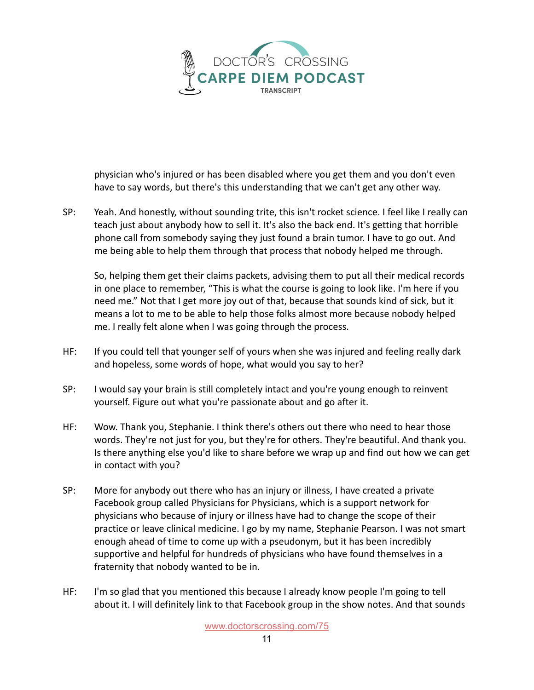

physician who's injured or has been disabled where you get them and you don't even have to say words, but there's this understanding that we can't get any other way.

SP: Yeah. And honestly, without sounding trite, this isn't rocket science. I feel like I really can teach just about anybody how to sell it. It's also the back end. It's getting that horrible phone call from somebody saying they just found a brain tumor. I have to go out. And me being able to help them through that process that nobody helped me through.

So, helping them get their claims packets, advising them to put all their medical records in one place to remember, "This is what the course is going to look like. I'm here if you need me." Not that I get more joy out of that, because that sounds kind of sick, but it means a lot to me to be able to help those folks almost more because nobody helped me. I really felt alone when I was going through the process.

- HF: If you could tell that younger self of yours when she was injured and feeling really dark and hopeless, some words of hope, what would you say to her?
- SP: I would say your brain is still completely intact and you're young enough to reinvent yourself. Figure out what you're passionate about and go after it.
- HF: Wow. Thank you, Stephanie. I think there's others out there who need to hear those words. They're not just for you, but they're for others. They're beautiful. And thank you. Is there anything else you'd like to share before we wrap up and find out how we can get in contact with you?
- SP: More for anybody out there who has an injury or illness, I have created a private Facebook group called Physicians for Physicians, which is a support network for physicians who because of injury or illness have had to change the scope of their practice or leave clinical medicine. I go by my name, Stephanie Pearson. I was not smart enough ahead of time to come up with a pseudonym, but it has been incredibly supportive and helpful for hundreds of physicians who have found themselves in a fraternity that nobody wanted to be in.
- HF: I'm so glad that you mentioned this because I already know people I'm going to tell about it. I will definitely link to that Facebook group in the show notes. And that sounds